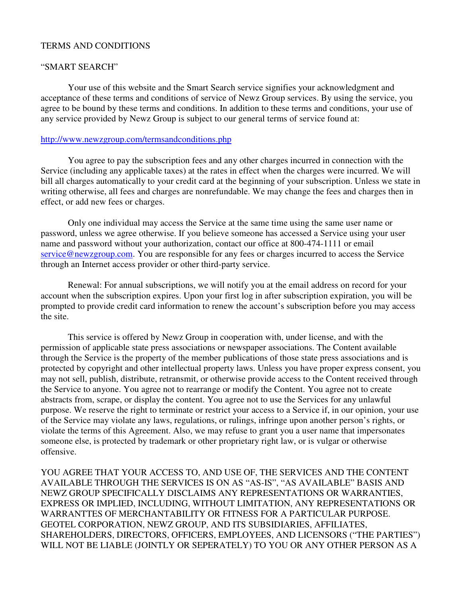## TERMS AND CONDITIONS

## "SMART SEARCH"

 Your use of this website and the Smart Search service signifies your acknowledgment and acceptance of these terms and conditions of service of Newz Group services. By using the service, you agree to be bound by these terms and conditions. In addition to these terms and conditions, your use of any service provided by Newz Group is subject to our general terms of service found at:

## http://www.newzgroup.com/termsandconditions.php

 You agree to pay the subscription fees and any other charges incurred in connection with the Service (including any applicable taxes) at the rates in effect when the charges were incurred. We will bill all charges automatically to your credit card at the beginning of your subscription. Unless we state in writing otherwise, all fees and charges are nonrefundable. We may change the fees and charges then in effect, or add new fees or charges.

Only one individual may access the Service at the same time using the same user name or password, unless we agree otherwise. If you believe someone has accessed a Service using your user name and password without your authorization, contact our office at 800-474-1111 or email service@newzgroup.com. You are responsible for any fees or charges incurred to access the Service through an Internet access provider or other third-party service.

Renewal: For annual subscriptions, we will notify you at the email address on record for your account when the subscription expires. Upon your first log in after subscription expiration, you will be prompted to provide credit card information to renew the account's subscription before you may access the site.

This service is offered by Newz Group in cooperation with, under license, and with the permission of applicable state press associations or newspaper associations. The Content available through the Service is the property of the member publications of those state press associations and is protected by copyright and other intellectual property laws. Unless you have proper express consent, you may not sell, publish, distribute, retransmit, or otherwise provide access to the Content received through the Service to anyone. You agree not to rearrange or modify the Content. You agree not to create abstracts from, scrape, or display the content. You agree not to use the Services for any unlawful purpose. We reserve the right to terminate or restrict your access to a Service if, in our opinion, your use of the Service may violate any laws, regulations, or rulings, infringe upon another person's rights, or violate the terms of this Agreement. Also, we may refuse to grant you a user name that impersonates someone else, is protected by trademark or other proprietary right law, or is vulgar or otherwise offensive.

YOU AGREE THAT YOUR ACCESS TO, AND USE OF, THE SERVICES AND THE CONTENT AVAILABLE THROUGH THE SERVICES IS ON AS "AS-IS", "AS AVAILABLE" BASIS AND NEWZ GROUP SPECIFICALLY DISCLAIMS ANY REPRESENTATIONS OR WARRANTIES, EXPRESS OR IMPLIED, INCLUDING, WITHOUT LIMITATION, ANY REPRESENTATIONS OR WARRANTTES OF MERCHANTABILITY OR FITNESS FOR A PARTICULAR PURPOSE. GEOTEL CORPORATION, NEWZ GROUP, AND ITS SUBSIDIARIES, AFFILIATES, SHAREHOLDERS, DIRECTORS, OFFICERS, EMPLOYEES, AND LICENSORS ("THE PARTIES") WILL NOT BE LIABLE (JOINTLY OR SEPERATELY) TO YOU OR ANY OTHER PERSON AS A